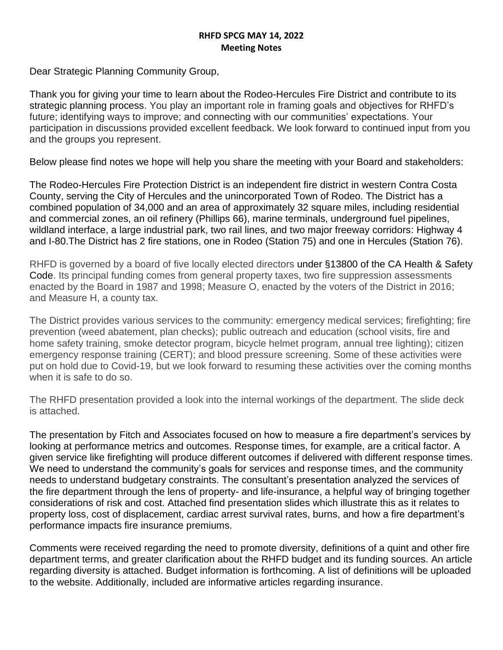## **RHFD SPCG MAY 14, 2022 Meeting Notes**

Dear Strategic Planning Community Group,

Thank you for giving your time to learn about the Rodeo-Hercules Fire District and contribute to its strategic planning process. You play an important role in framing goals and objectives for RHFD's future; identifying ways to improve; and connecting with our communities' expectations. Your participation in discussions provided excellent feedback. We look forward to continued input from you and the groups you represent.

Below please find notes we hope will help you share the meeting with your Board and stakeholders:

The Rodeo-Hercules Fire Protection District is an independent fire district in western Contra Costa County, serving the City of Hercules and the unincorporated Town of Rodeo. The District has a combined population of 34,000 and an area of approximately 32 square miles, including residential and commercial zones, an oil refinery (Phillips 66), marine terminals, underground fuel pipelines, wildland interface, a large industrial park, two rail lines, and two major freeway corridors: Highway 4 and I-80.The District has 2 fire stations, one in Rodeo (Station 75) and one in Hercules (Station 76).

RHFD is governed by a board of five locally elected directors under §13800 of the CA Health & Safety Code. Its principal funding comes from general property taxes, two fire suppression assessments enacted by the Board in 1987 and 1998; Measure O, enacted by the voters of the District in 2016; and Measure H, a county tax.

The District provides various services to the community: emergency medical services; firefighting; fire prevention (weed abatement, plan checks); public outreach and education (school visits, fire and home safety training, smoke detector program, bicycle helmet program, annual tree lighting); citizen emergency response training (CERT); and blood pressure screening. Some of these activities were put on hold due to Covid-19, but we look forward to resuming these activities over the coming months when it is safe to do so.

The RHFD presentation provided a look into the internal workings of the department. The slide deck is attached.

The presentation by Fitch and Associates focused on how to measure a fire department's services by looking at performance metrics and outcomes. Response times, for example, are a critical factor. A given service like firefighting will produce different outcomes if delivered with different response times. We need to understand the community's goals for services and response times, and the community needs to understand budgetary constraints. The consultant's presentation analyzed the services of the fire department through the lens of property- and life-insurance, a helpful way of bringing together considerations of risk and cost. Attached find presentation slides which illustrate this as it relates to property loss, cost of displacement, cardiac arrest survival rates, burns, and how a fire department's performance impacts fire insurance premiums.

Comments were received regarding the need to promote diversity, definitions of a quint and other fire department terms, and greater clarification about the RHFD budget and its funding sources. An article regarding diversity is attached. Budget information is forthcoming. A list of definitions will be uploaded to the website. Additionally, included are informative articles regarding insurance.